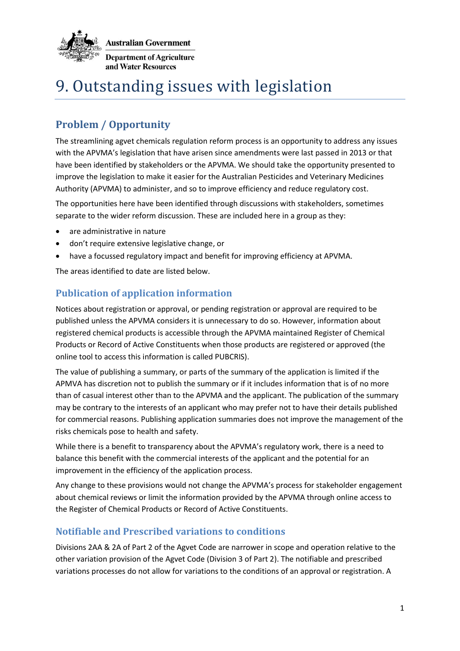

**Australian Government Denartment of Agriculture** and Water Resources

# 9. Outstanding issues with legislation

# **Problem / Opportunity**

The streamlining agvet chemicals regulation reform process is an opportunity to address any issues with the APVMA's legislation that have arisen since amendments were last passed in 2013 or that have been identified by stakeholders or the APVMA. We should take the opportunity presented to improve the legislation to make it easier for the Australian Pesticides and Veterinary Medicines Authority (APVMA) to administer, and so to improve efficiency and reduce regulatory cost.

The opportunities here have been identified through discussions with stakeholders, sometimes separate to the wider reform discussion. These are included here in a group as they:

- are administrative in nature
- don't require extensive legislative change, or
- have a focussed regulatory impact and benefit for improving efficiency at APVMA.

The areas identified to date are listed below.

# **Publication of application information**

Notices about registration or approval, or pending registration or approval are required to be published unless the APVMA considers it is unnecessary to do so. However, information about registered chemical products is accessible through the APVMA maintained Register of Chemical Products or Record of Active Constituents when those products are registered or approved (the online tool to access this information is called PUBCRIS).

The value of publishing a summary, or parts of the summary of the application is limited if the APMVA has discretion not to publish the summary or if it includes information that is of no more than of casual interest other than to the APVMA and the applicant. The publication of the summary may be contrary to the interests of an applicant who may prefer not to have their details published for commercial reasons. Publishing application summaries does not improve the management of the risks chemicals pose to health and safety.

While there is a benefit to transparency about the APVMA's regulatory work, there is a need to balance this benefit with the commercial interests of the applicant and the potential for an improvement in the efficiency of the application process.

Any change to these provisions would not change the APVMA's process for stakeholder engagement about chemical reviews or limit the information provided by the APVMA through online access to the Register of Chemical Products or Record of Active Constituents.

# **Notifiable and Prescribed variations to conditions**

Divisions 2AA & 2A of Part 2 of the Agvet Code are narrower in scope and operation relative to the other variation provision of the Agvet Code (Division 3 of Part 2). The notifiable and prescribed variations processes do not allow for variations to the conditions of an approval or registration. A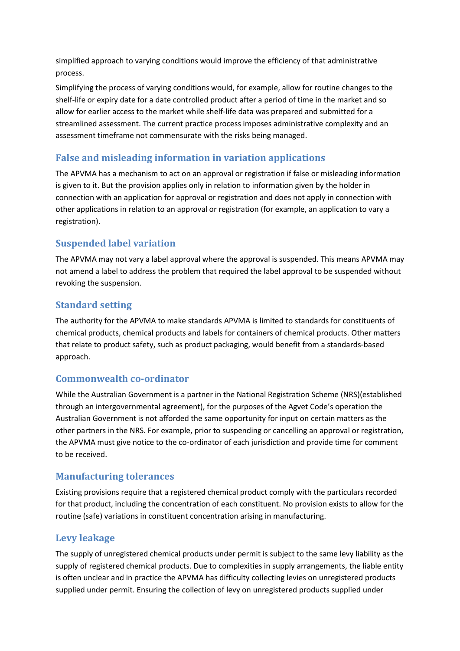simplified approach to varying conditions would improve the efficiency of that administrative process.

Simplifying the process of varying conditions would, for example, allow for routine changes to the shelf-life or expiry date for a date controlled product after a period of time in the market and so allow for earlier access to the market while shelf-life data was prepared and submitted for a streamlined assessment. The current practice process imposes administrative complexity and an assessment timeframe not commensurate with the risks being managed.

# **False and misleading information in variation applications**

The APVMA has a mechanism to act on an approval or registration if false or misleading information is given to it. But the provision applies only in relation to information given by the holder in connection with an application for approval or registration and does not apply in connection with other applications in relation to an approval or registration (for example, an application to vary a registration).

# **Suspended label variation**

The APVMA may not vary a label approval where the approval is suspended. This means APVMA may not amend a label to address the problem that required the label approval to be suspended without revoking the suspension.

# **Standard setting**

The authority for the APVMA to make standards APVMA is limited to standards for constituents of chemical products, chemical products and labels for containers of chemical products. Other matters that relate to product safety, such as product packaging, would benefit from a standards-based approach.

# **Commonwealth co-ordinator**

While the Australian Government is a partner in the National Registration Scheme (NRS)(established through an intergovernmental agreement), for the purposes of the Agvet Code's operation the Australian Government is not afforded the same opportunity for input on certain matters as the other partners in the NRS. For example, prior to suspending or cancelling an approval or registration, the APVMA must give notice to the co-ordinator of each jurisdiction and provide time for comment to be received.

# **Manufacturing tolerances**

Existing provisions require that a registered chemical product comply with the particulars recorded for that product, including the concentration of each constituent. No provision exists to allow for the routine (safe) variations in constituent concentration arising in manufacturing.

# **Levy leakage**

The supply of unregistered chemical products under permit is subject to the same levy liability as the supply of registered chemical products. Due to complexities in supply arrangements, the liable entity is often unclear and in practice the APVMA has difficulty collecting levies on unregistered products supplied under permit. Ensuring the collection of levy on unregistered products supplied under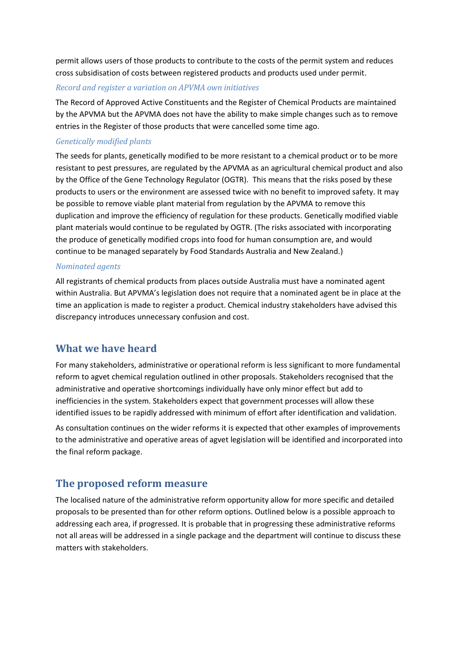permit allows users of those products to contribute to the costs of the permit system and reduces cross subsidisation of costs between registered products and products used under permit.

#### *Record and register a variation on APVMA own initiatives*

The Record of Approved Active Constituents and the Register of Chemical Products are maintained by the APVMA but the APVMA does not have the ability to make simple changes such as to remove entries in the Register of those products that were cancelled some time ago.

#### *Genetically modified plants*

The seeds for plants, genetically modified to be more resistant to a chemical product or to be more resistant to pest pressures, are regulated by the APVMA as an agricultural chemical product and also by the Office of the Gene Technology Regulator (OGTR). This means that the risks posed by these products to users or the environment are assessed twice with no benefit to improved safety. It may be possible to remove viable plant material from regulation by the APVMA to remove this duplication and improve the efficiency of regulation for these products. Genetically modified viable plant materials would continue to be regulated by OGTR. (The risks associated with incorporating the produce of genetically modified crops into food for human consumption are, and would continue to be managed separately by Food Standards Australia and New Zealand.)

#### *Nominated agents*

All registrants of chemical products from places outside Australia must have a nominated agent within Australia. But APVMA's legislation does not require that a nominated agent be in place at the time an application is made to register a product. Chemical industry stakeholders have advised this discrepancy introduces unnecessary confusion and cost.

## **What we have heard**

For many stakeholders, administrative or operational reform is less significant to more fundamental reform to agvet chemical regulation outlined in other proposals. Stakeholders recognised that the administrative and operative shortcomings individually have only minor effect but add to inefficiencies in the system. Stakeholders expect that government processes will allow these identified issues to be rapidly addressed with minimum of effort after identification and validation.

As consultation continues on the wider reforms it is expected that other examples of improvements to the administrative and operative areas of agvet legislation will be identified and incorporated into the final reform package.

## **The proposed reform measure**

The localised nature of the administrative reform opportunity allow for more specific and detailed proposals to be presented than for other reform options. Outlined below is a possible approach to addressing each area, if progressed. It is probable that in progressing these administrative reforms not all areas will be addressed in a single package and the department will continue to discuss these matters with stakeholders.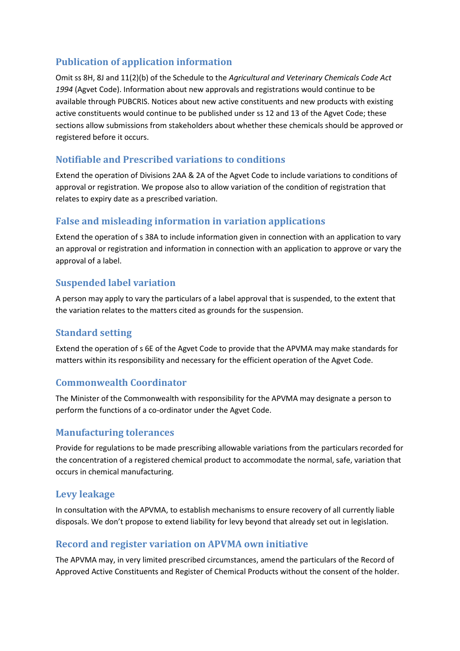# **Publication of application information**

Omit ss 8H, 8J and 11(2)(b) of the Schedule to the *Agricultural and Veterinary Chemicals Code Act 1994* (Agvet Code). Information about new approvals and registrations would continue to be available through PUBCRIS. Notices about new active constituents and new products with existing active constituents would continue to be published under ss 12 and 13 of the Agvet Code; these sections allow submissions from stakeholders about whether these chemicals should be approved or registered before it occurs.

# **Notifiable and Prescribed variations to conditions**

Extend the operation of Divisions 2AA & 2A of the Agvet Code to include variations to conditions of approval or registration. We propose also to allow variation of the condition of registration that relates to expiry date as a prescribed variation.

# **False and misleading information in variation applications**

Extend the operation of s 38A to include information given in connection with an application to vary an approval or registration and information in connection with an application to approve or vary the approval of a label.

# **Suspended label variation**

A person may apply to vary the particulars of a label approval that is suspended, to the extent that the variation relates to the matters cited as grounds for the suspension.

# **Standard setting**

Extend the operation of s 6E of the Agvet Code to provide that the APVMA may make standards for matters within its responsibility and necessary for the efficient operation of the Agvet Code.

# **Commonwealth Coordinator**

The Minister of the Commonwealth with responsibility for the APVMA may designate a person to perform the functions of a co-ordinator under the Agvet Code.

# **Manufacturing tolerances**

Provide for regulations to be made prescribing allowable variations from the particulars recorded for the concentration of a registered chemical product to accommodate the normal, safe, variation that occurs in chemical manufacturing.

# **Levy leakage**

In consultation with the APVMA, to establish mechanisms to ensure recovery of all currently liable disposals. We don't propose to extend liability for levy beyond that already set out in legislation.

# **Record and register variation on APVMA own initiative**

The APVMA may, in very limited prescribed circumstances, amend the particulars of the Record of Approved Active Constituents and Register of Chemical Products without the consent of the holder.